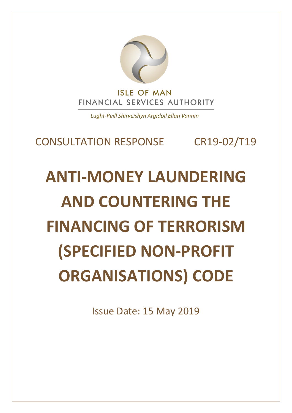

Lught-Reill Shirveishyn Argidoil Ellan Vannin

# CONSULTATION RESPONSE CR19-02/T19

# **ANTI-MONEY LAUNDERING AND COUNTERING THE FINANCING OF TERRORISM (SPECIFIED NON-PROFIT ORGANISATIONS) CODE**

Issue Date: 15 May 2019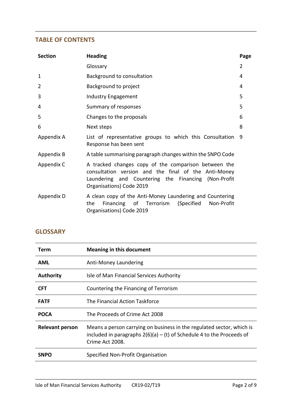#### **TABLE OF CONTENTS**

| <b>Section</b> | <b>Heading</b>                                                                                                                                                                                  | Page           |
|----------------|-------------------------------------------------------------------------------------------------------------------------------------------------------------------------------------------------|----------------|
|                | Glossary                                                                                                                                                                                        | $\overline{2}$ |
| 1              | Background to consultation                                                                                                                                                                      | 4              |
| $\overline{2}$ | Background to project                                                                                                                                                                           | 4              |
| 3              | Industry Engagement                                                                                                                                                                             | 5              |
| 4              | Summary of responses                                                                                                                                                                            | 5              |
| 5              | Changes to the proposals                                                                                                                                                                        | 6              |
| 6              | Next steps                                                                                                                                                                                      | 8              |
| Appendix A     | List of representative groups to which this Consultation<br>Response has been sent                                                                                                              | 9              |
| Appendix B     | A table summarising paragraph changes within the SNPO Code                                                                                                                                      |                |
| Appendix C     | A tracked changes copy of the comparison between the<br>consultation version and the final of the Anti-Money<br>Laundering and Countering the Financing (Non-Profit<br>Organisations) Code 2019 |                |
| Appendix D     | A clean copy of the Anti-Money Laundering and Countering<br>Financing of Terrorism<br>(Specified<br>Non-Profit<br>the<br>Organisations) Code 2019                                               |                |

## **GLOSSARY**

| Term                   | <b>Meaning in this document</b>                                                                                                                                     |
|------------------------|---------------------------------------------------------------------------------------------------------------------------------------------------------------------|
| <b>AML</b>             | Anti-Money Laundering                                                                                                                                               |
| <b>Authority</b>       | Isle of Man Financial Services Authority                                                                                                                            |
| <b>CFT</b>             | Countering the Financing of Terrorism                                                                                                                               |
| <b>FATF</b>            | The Financial Action Taskforce                                                                                                                                      |
| <b>POCA</b>            | The Proceeds of Crime Act 2008                                                                                                                                      |
| <b>Relevant person</b> | Means a person carrying on business in the regulated sector, which is<br>included in paragraphs $2(6)(a) - (t)$ of Schedule 4 to the Proceeds of<br>Crime Act 2008. |
| <b>SNPO</b>            | Specified Non-Profit Organisation                                                                                                                                   |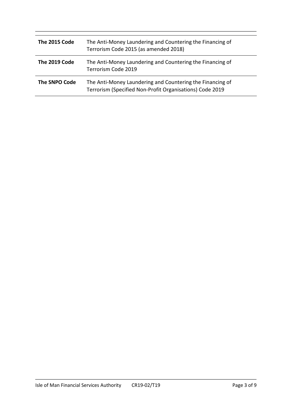| The 2015 Code | The Anti-Money Laundering and Countering the Financing of<br>Terrorism Code 2015 (as amended 2018)                    |
|---------------|-----------------------------------------------------------------------------------------------------------------------|
| The 2019 Code | The Anti-Money Laundering and Countering the Financing of<br>Terrorism Code 2019                                      |
| The SNPO Code | The Anti-Money Laundering and Countering the Financing of<br>Terrorism (Specified Non-Profit Organisations) Code 2019 |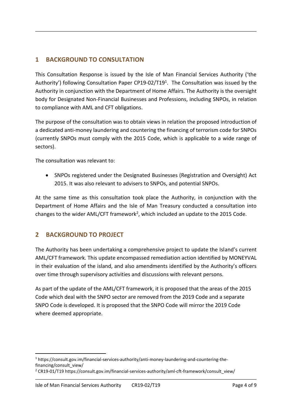## **1 BACKGROUND TO CONSULTATION**

This Consultation Response is issued by the Isle of Man Financial Services Authority ('the Authority') following Consultation Paper CP19-02/T19<sup>1</sup>. The Consultation was issued by the Authority in conjunction with the Department of Home Affairs. The Authority is the oversight body for Designated Non-Financial Businesses and Professions, including SNPOs, in relation to compliance with AML and CFT obligations.

The purpose of the consultation was to obtain views in relation the proposed introduction of a dedicated anti-money laundering and countering the financing of terrorism code for SNPOs (currently SNPOs must comply with the 2015 Code, which is applicable to a wide range of sectors).

The consultation was relevant to:

 SNPOs registered under the Designated Businesses (Registration and Oversight) Act 2015. It was also relevant to advisers to SNPOs, and potential SNPOs.

At the same time as this consultation took place the Authority, in conjunction with the Department of Home Affairs and the Isle of Man Treasury conducted a consultation into changes to the wider AML/CFT framework<sup>2</sup>, which included an update to the 2015 Code.

#### **2 BACKGROUND TO PROJECT**

-

The Authority has been undertaking a comprehensive project to update the Island's current AML/CFT framework. This update encompassed remediation action identified by MONEYVAL in their evaluation of the island, and also amendments identified by the Authority's officers over time through supervisory activities and discussions with relevant persons.

As part of the update of the AML/CFT framework, it is proposed that the areas of the 2015 Code which deal with the SNPO sector are removed from the 2019 Code and a separate SNPO Code is developed. It is proposed that the SNPO Code will mirror the 2019 Code where deemed appropriate.

<sup>1</sup> https://consult.gov.im/financial-services-authority/anti-money-laundering-and-countering-thefinancing/consult\_view/

<sup>&</sup>lt;sup>2</sup> CR19-01/T19 https://consult.gov.im/financial-services-authority/aml-cft-framework/consult\_view/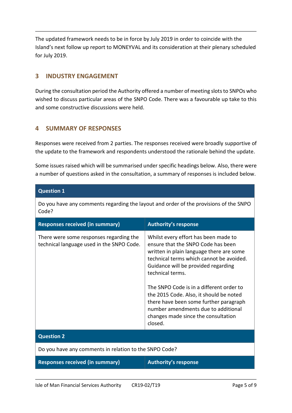The updated framework needs to be in force by July 2019 in order to coincide with the Island's next follow up report to MONEYVAL and its consideration at their plenary scheduled for July 2019.

#### **3 INDUSTRY ENGAGEMENT**

During the consultation period the Authority offered a number of meeting slots to SNPOs who wished to discuss particular areas of the SNPO Code. There was a favourable up take to this and some constructive discussions were held.

#### **4 SUMMARY OF RESPONSES**

Responses were received from 2 parties. The responses received were broadly supportive of the update to the framework and respondents understood the rationale behind the update.

Some issues raised which will be summarised under specific headings below. Also, there were a number of questions asked in the consultation, a summary of responses is included below.

| <b>Question 1</b>                                                                    |                                                                                                                                                                                                                                                                                                                                                                                                                                                         |  |
|--------------------------------------------------------------------------------------|---------------------------------------------------------------------------------------------------------------------------------------------------------------------------------------------------------------------------------------------------------------------------------------------------------------------------------------------------------------------------------------------------------------------------------------------------------|--|
| Code?                                                                                | Do you have any comments regarding the layout and order of the provisions of the SNPO                                                                                                                                                                                                                                                                                                                                                                   |  |
| <b>Responses received (in summary)</b>                                               | <b>Authority's response</b>                                                                                                                                                                                                                                                                                                                                                                                                                             |  |
| There were some responses regarding the<br>technical language used in the SNPO Code. | Whilst every effort has been made to<br>ensure that the SNPO Code has been<br>written in plain language there are some<br>technical terms which cannot be avoided.<br>Guidance will be provided regarding<br>technical terms.<br>The SNPO Code is in a different order to<br>the 2015 Code. Also, it should be noted<br>there have been some further paragraph<br>number amendments due to additional<br>changes made since the consultation<br>closed. |  |
| <b>Question 2</b>                                                                    |                                                                                                                                                                                                                                                                                                                                                                                                                                                         |  |
| Do you have any comments in relation to the SNPO Code?                               |                                                                                                                                                                                                                                                                                                                                                                                                                                                         |  |
| <b>Responses received (in summary)</b>                                               | <b>Authority's response</b>                                                                                                                                                                                                                                                                                                                                                                                                                             |  |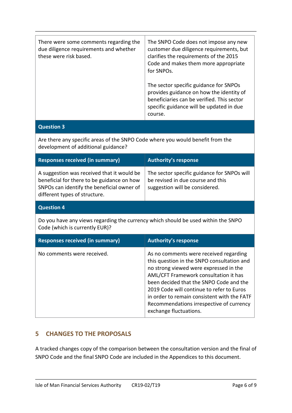| There were some comments regarding the<br>due diligence requirements and whether<br>these were risk based. | The SNPO Code does not impose any new<br>customer due diligence requirements, but<br>clarifies the requirements of the 2015<br>Code and makes them more appropriate<br>for SNPOs.       |
|------------------------------------------------------------------------------------------------------------|-----------------------------------------------------------------------------------------------------------------------------------------------------------------------------------------|
|                                                                                                            | The sector specific guidance for SNPOs<br>provides guidance on how the identity of<br>beneficiaries can be verified. This sector<br>specific guidance will be updated in due<br>course. |

#### **Question 3**

Are there any specific areas of the SNPO Code where you would benefit from the development of additional guidance?

| <b>Responses received (in summary)</b>                                                                                                                                  | <b>Authority's response</b>                                                                                        |
|-------------------------------------------------------------------------------------------------------------------------------------------------------------------------|--------------------------------------------------------------------------------------------------------------------|
| A suggestion was received that it would be<br>beneficial for there to be guidance on how<br>SNPOs can identify the beneficial owner of<br>different types of structure. | The sector specific guidance for SNPOs will<br>be revised in due course and this<br>suggestion will be considered. |
| <b>Question 4</b>                                                                                                                                                       |                                                                                                                    |
| Do you have any views regarding the currency which should be used within the SNPO<br>Code (which is currently EUR)?                                                     |                                                                                                                    |
|                                                                                                                                                                         |                                                                                                                    |
| <b>Responses received (in summary)</b>                                                                                                                                  | <b>Authority's response</b>                                                                                        |

#### **5 CHANGES TO THE PROPOSALS**

A tracked changes copy of the comparison between the consultation version and the final of SNPO Code and the final SNPO Code are included in the Appendices to this document.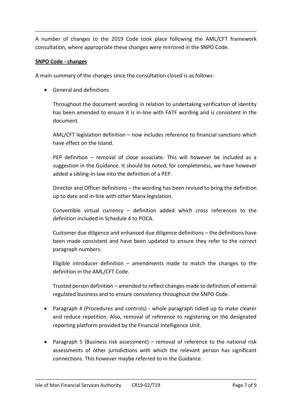A number of changes to the 2019 Code took place following the AML/CFT framework consultation, where appropriate these changes were mirrored in the SNPO Code.

#### **SNPO Code - changes**

A main summary of the changes since the consultation closed is as follows:

General and definitions

Throughout the document wording in relation to undertaking verification of identity has been amended to ensure it is in-line with FATF wording and is consistent in the document.

AML/CFT legislation definition – now includes reference to financial sanctions which have effect on the Island.

PEP definition – removal of close associate. This will however be included as a suggestion in the Guidance. It should be noted, for completeness, we have however added a sibling-in-law into the definition of a PEP.

Director and Officer definitions – the wording has been revised to bring the definition up to date and in-line with other Manx legislation.

Convertible virtual currency – definition added which cross references to the definition included in Schedule 4 to POCA.

Customer due diligence and enhanced due diligence definitions – the definitions have been made consistent and have been updated to ensure they refer to the correct paragraph numbers.

Eligible introducer definition – amendments made to match the changes to the definition in the AML/CFT Code.

Trusted person definition – amended to reflect changes made to definition of external regulated business and to ensure consistency throughout the SNPO Code.

- Paragraph 4 (Procedures and controls) whole paragraph tidied up to make clearer and reduce repetition. Also, removal of reference to registering on the designated reporting platform provided by the Financial Intelligence Unit.
- Paragraph 5 (Business risk assessment) removal of reference to the national risk assessments of other jurisdictions with which the relevant person has significant connections. This however maybe referred to in the Guidance.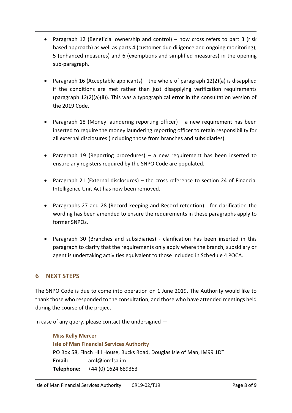- Paragraph 12 (Beneficial ownership and control) now cross refers to part 3 (risk based approach) as well as parts 4 (customer due diligence and ongoing monitoring), 5 (enhanced measures) and 6 (exemptions and simplified measures) in the opening sub-paragraph.
- Paragraph 16 (Acceptable applicants) the whole of paragraph  $12(2)(a)$  is disapplied if the conditions are met rather than just disapplying verification requirements (paragraph 12(2)(a)(ii)). This was a typographical error in the consultation version of the 2019 Code.
- Paragraph 18 (Money laundering reporting officer) a new requirement has been inserted to require the money laundering reporting officer to retain responsibility for all external disclosures (including those from branches and subsidiaries).
- Paragraph 19 (Reporting procedures) a new requirement has been inserted to ensure any registers required by the SNPO Code are populated.
- Paragraph 21 (External disclosures) the cross reference to section 24 of Financial Intelligence Unit Act has now been removed.
- Paragraphs 27 and 28 (Record keeping and Record retention) for clarification the wording has been amended to ensure the requirements in these paragraphs apply to former SNPOs.
- Paragraph 30 (Branches and subsidiaries) clarification has been inserted in this paragraph to clarify that the requirements only apply where the branch, subsidiary or agent is undertaking activities equivalent to those included in Schedule 4 POCA.

# **6 NEXT STEPS**

The SNPO Code is due to come into operation on 1 June 2019. The Authority would like to thank those who responded to the consultation, and those who have attended meetings held during the course of the project.

In case of any query, please contact the undersigned —

```
Miss Kelly Mercer
Isle of Man Financial Services Authority
PO Box 58, Finch Hill House, Bucks Road, Douglas Isle of Man, IM99 1DT
Email: aml@iomfsa.im
Telephone: +44 (0) 1624 689353
```